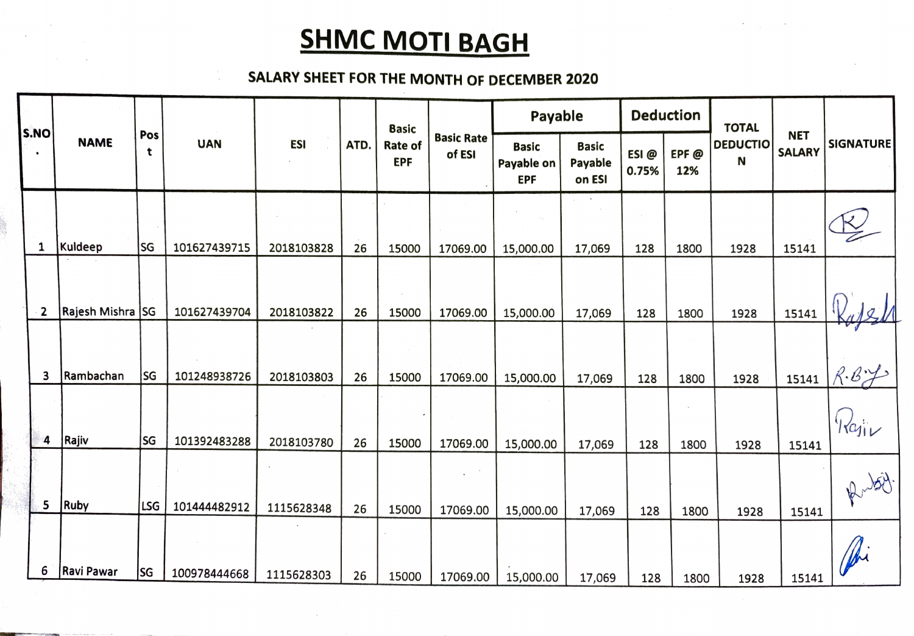## **SHMC MOTI BAGH**

## SALARY SHEET FOR THE MoNTH OF DECEMBER 2020

|              |                   |           |              |            |      | <b>Basic</b>          |                             | Payable                                  |                                   |               | <b>Deduction</b> | <b>TOTAL</b>         |                             |                          |
|--------------|-------------------|-----------|--------------|------------|------|-----------------------|-----------------------------|------------------------------------------|-----------------------------------|---------------|------------------|----------------------|-----------------------------|--------------------------|
| S.NO         | <b>NAME</b>       | Pos<br>t  | <b>UAN</b>   | <b>ESI</b> | ATD. | Rate of<br><b>EPF</b> | <b>Basic Rate</b><br>of ESI | <b>Basic</b><br>Payable on<br><b>EPF</b> | <b>Basic</b><br>Payable<br>on ESI | ESI@<br>0.75% | EPF@<br>12%      | <b>DEDUCTIO</b><br>N | <b>NET</b><br><b>SALARY</b> | <b>SIGNATURE</b>         |
| 1            | Kuldeep           | <b>SG</b> | 101627439715 | 2018103828 | 26   | 15000                 | 17069.00                    | 15,000.00                                | 17,069                            | 128           | 1800             | 1928                 | 15141                       |                          |
| $\mathbf{2}$ | Rajesh Mishra SG  |           | 101627439704 | 2018103822 | 26   | 15000                 | 17069.00                    | 15,000.00                                | 17,069                            | 128           | 1800             | 1928                 | 15141                       |                          |
| 3            | Rambachan         | <b>SG</b> | 101248938726 | 2018103803 | 26   | 15000                 | 17069.00                    | 15,000.00                                | 17,069                            | 128           | 1800             | 1928                 |                             | $15141 \, \textit{R-Bv}$ |
| 4            | Rajiv             | lsg       | 101392483288 | 2018103780 | 26   | 15000                 | 17069.00                    | 15,000.00                                | 17,069                            | 128           | 1800             | 1928                 | 15141                       | Kajiv                    |
| 5            | Ruby              | LSG       | 101444482912 | 1115628348 | 26   | 15000                 | 17069.00                    | 15,000.00                                | 17,069                            | 128           | 1800             | 1928                 | 15141                       | Rubit.                   |
| 6            | <b>Ravi Pawar</b> | SG        | 100978444668 | 1115628303 | 26   | 15000                 | 17069.00                    | 15,000.00                                | 17,069                            | 128           | 1800             | 1928                 | 15141                       |                          |